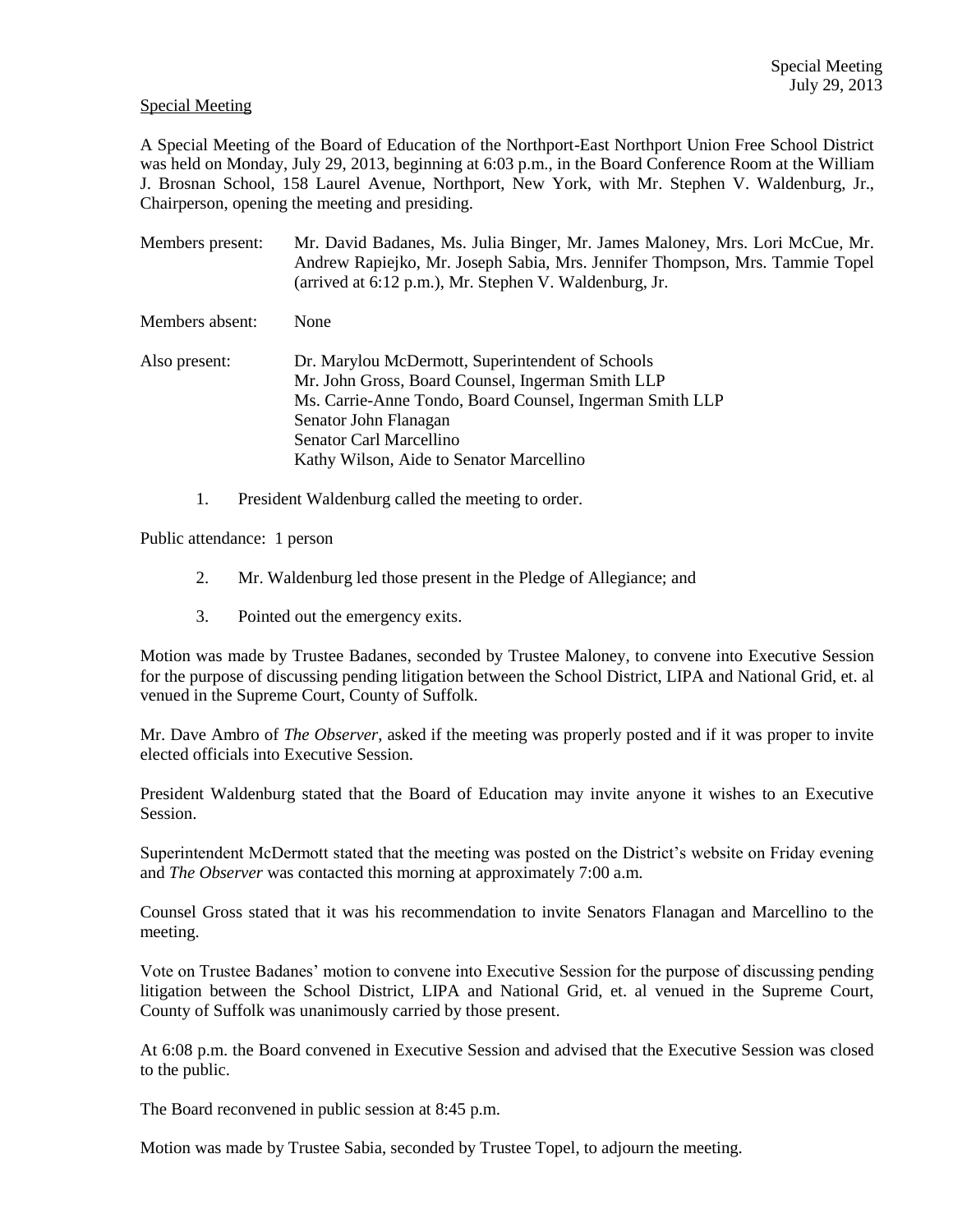## Special Meeting

A Special Meeting of the Board of Education of the Northport-East Northport Union Free School District was held on Monday, July 29, 2013, beginning at 6:03 p.m., in the Board Conference Room at the William J. Brosnan School, 158 Laurel Avenue, Northport, New York, with Mr. Stephen V. Waldenburg, Jr., Chairperson, opening the meeting and presiding.

| Members present: | Mr. David Badanes, Ms. Julia Binger, Mr. James Maloney, Mrs. Lori McCue, Mr.<br>Andrew Rapiejko, Mr. Joseph Sabia, Mrs. Jennifer Thompson, Mrs. Tammie Topel<br>(arrived at 6:12 p.m.), Mr. Stephen V. Waldenburg, Jr.                                            |
|------------------|-------------------------------------------------------------------------------------------------------------------------------------------------------------------------------------------------------------------------------------------------------------------|
| Members absent:  | None                                                                                                                                                                                                                                                              |
| Also present:    | Dr. Marylou McDermott, Superintendent of Schools<br>Mr. John Gross, Board Counsel, Ingerman Smith LLP<br>Ms. Carrie-Anne Tondo, Board Counsel, Ingerman Smith LLP<br>Senator John Flanagan<br>Senator Carl Marcellino<br>Kathy Wilson, Aide to Senator Marcellino |

1. President Waldenburg called the meeting to order.

Public attendance: 1 person

- 2. Mr. Waldenburg led those present in the Pledge of Allegiance; and
- 3. Pointed out the emergency exits.

Motion was made by Trustee Badanes, seconded by Trustee Maloney, to convene into Executive Session for the purpose of discussing pending litigation between the School District, LIPA and National Grid, et. al venued in the Supreme Court, County of Suffolk.

Mr. Dave Ambro of *The Observer*, asked if the meeting was properly posted and if it was proper to invite elected officials into Executive Session.

President Waldenburg stated that the Board of Education may invite anyone it wishes to an Executive Session.

Superintendent McDermott stated that the meeting was posted on the District's website on Friday evening and *The Observer* was contacted this morning at approximately 7:00 a.m.

Counsel Gross stated that it was his recommendation to invite Senators Flanagan and Marcellino to the meeting.

Vote on Trustee Badanes' motion to convene into Executive Session for the purpose of discussing pending litigation between the School District, LIPA and National Grid, et. al venued in the Supreme Court, County of Suffolk was unanimously carried by those present.

At 6:08 p.m. the Board convened in Executive Session and advised that the Executive Session was closed to the public.

The Board reconvened in public session at 8:45 p.m.

Motion was made by Trustee Sabia, seconded by Trustee Topel, to adjourn the meeting.